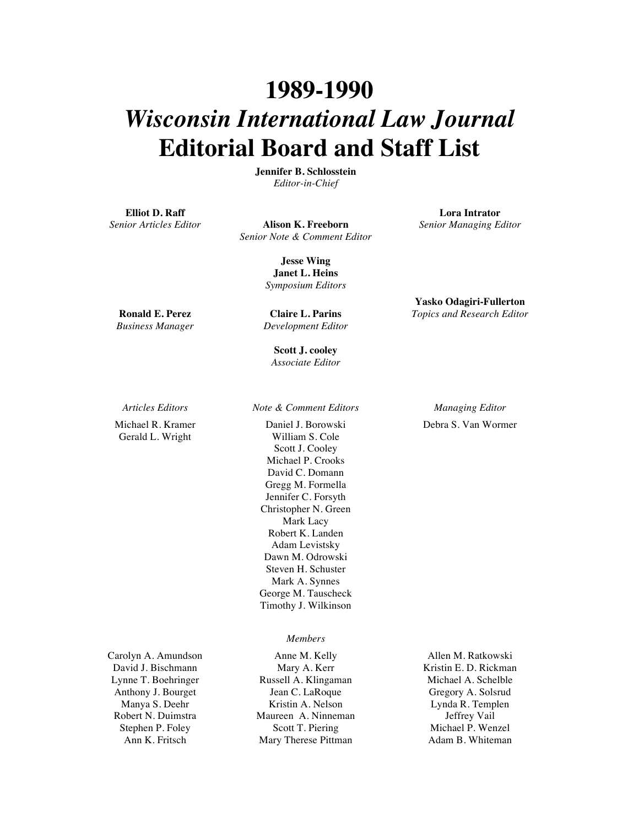## **1989-1990** *Wisconsin International Law Journal* **Editorial Board and Staff List**

**Jennifer B. Schlosstein** *Editor-in-Chief*

**Elliot D. Raff**

*Senior Articles Editor* **Alison K. Freeborn** *Senior Note & Comment Editor* *Senior Managing Editor*

**Lora Intrator**

**Yasko Odagiri-Fullerton** *Topics and Research Editor*

Debra S. Van Wormer

**Jesse Wing Janet L. Heins** *Symposium Editors*

**Ronald E. Perez** *Business Manager*

**Claire L. Parins** *Development Editor*

**Scott J. cooley** *Associate Editor*

Michael R. Kramer Gerald L. Wright

Carolyn A. Amundson David J. Bischmann Lynne T. Boehringer Anthony J. Bourget Manya S. Deehr Robert N. Duimstra Stephen P. Foley Ann K. Fritsch

*Articles Editors Note & Comment Editors Managing Editor*

Daniel J. Borowski William S. Cole Scott J. Cooley Michael P. Crooks David C. Domann Gregg M. Formella Jennifer C. Forsyth Christopher N. Green Mark Lacy Robert K. Landen Adam Levistsky Dawn M. Odrowski Steven H. Schuster Mark A. Synnes George M. Tauscheck Timothy J. Wilkinson

## *Members*

Anne M. Kelly Mary A. Kerr Russell A. Klingaman Jean C. LaRoque Kristin A. Nelson Maureen A. Ninneman Scott T. Piering Mary Therese Pittman

Allen M. Ratkowski Kristin E. D. Rickman Michael A. Schelble Gregory A. Solsrud Lynda R. Templen Jeffrey Vail Michael P. Wenzel Adam B. Whiteman